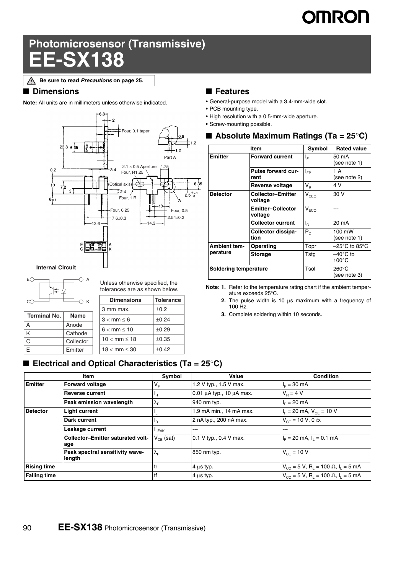# **OMRON**

# **Photomicrosensor (Transmissive) EE-SX138**

**Be sure to read** *Precautions* **on page 25.**∧

#### ■ **Dimensions**

**Note:** All units are in millimeters unless otherwise indicated.



#### **Internal Circuit**



A Anode K Cathode C Collector E Emitter

Unless otherwise specified, the tolerances are as shown below.

| <b>Tolerance</b> |
|------------------|
| ±0.2             |
| $\pm 0.24$       |
| ±0.29            |
| ±0.35            |
| ±0.42            |
|                  |

#### ■ **Features**

- **•** General-purpose model with a 3.4-mm-wide slot.
- **•** PCB mounting type.
- **•** High resolution with a 0.5-mm-wide aperture.
- **•** Screw-mounting possible.

#### ■ **Absolute Maximum Ratings (Ta = 25°C)**

|                                 | Item                                | Symbol                      | <b>Rated value</b>                    |
|---------------------------------|-------------------------------------|-----------------------------|---------------------------------------|
| <b>Emitter</b>                  | <b>Forward current</b>              | ΙĘ                          | 50 mA<br>(see note 1)                 |
|                                 | Pulse forward cur-<br>rent          | I <sub>FP</sub>             | 1 A<br>(see note 2)                   |
|                                 | Reverse voltage                     | $V_R$                       | 4 V                                   |
| <b>Detector</b>                 | <b>Collector-Emitter</b><br>voltage | $V_{CEO}$                   | 30 V                                  |
|                                 | <b>Emitter-Collector</b><br>voltage | $\mathsf{V}_{\mathsf{ECO}}$ |                                       |
|                                 | <b>Collector current</b>            | $I_{\rm C}$                 | 20 mA                                 |
|                                 | Collector dissipa-<br>tion          | $\mathsf{P}_{\texttt{C}}$   | 100 mW<br>(see note 1)                |
| <b>Ambient tem-</b><br>perature | Operating                           | Topr                        | –25°C to 85°C                         |
|                                 | <b>Storage</b>                      | Tstg                        | $-40^{\circ}$ C to<br>$100^{\circ}$ C |
| Soldering temperature           |                                     | Tsol                        | 260°C<br>(see note 3)                 |

**Note: 1.** Refer to the temperature rating chart if the ambient temperature exceeds 25°C.

- **2.** The pulse width is 10 μs maximum with a frequency of 100 Hz.
- **3.** Complete soldering within 10 seconds.

### ■ **Electrical and Optical Characteristics (Ta = 25°C)**

| Item                |                                                 | Symbol            | Value                              | <b>Condition</b>                                                             |
|---------------------|-------------------------------------------------|-------------------|------------------------------------|------------------------------------------------------------------------------|
| <b>Emitter</b>      | <b>Forward voltage</b>                          | $V_F$             | 1.2 V typ., 1.5 V max.             | $I_F = 30$ mA                                                                |
|                     | <b>Reverse current</b>                          | <sup>I</sup> R    | $0.01 \mu A$ typ., 10 $\mu A$ max. | $V_{\rm B} = 4 V$                                                            |
|                     | Peak emission wavelength                        | $\lambda_{\rm P}$ | 940 nm typ.                        | $I_{E} = 20$ mA                                                              |
| <b>Detector</b>     | <b>Light current</b>                            |                   | 1.9 mA min., 14 mA max.            | $I_F$ = 20 mA, $V_{CE}$ = 10 V                                               |
|                     | Dark current                                    | 'D                | 2 nA typ., 200 nA max.             | $V_{CF}$ = 10 V, 0 $\ell$ x                                                  |
|                     | Leakage current                                 | LEAK              | ---                                | ---                                                                          |
|                     | <b>Collector-Emitter saturated volt-</b><br>age | $V_{CE}$ (sat)    | 0.1 V typ., 0.4 V max.             | $I_F = 20$ mA, $I_L = 0.1$ mA                                                |
|                     | Peak spectral sensitivity wave-<br>length       | $\lambda_{\rm p}$ | 850 nm typ.                        | $V_{CF} = 10 V$                                                              |
| <b>Rising time</b>  |                                                 | tr                | $4 \mu s$ typ.                     | $V_{\text{CC}} = 5$ V, R <sub>L</sub> = 100 $\Omega$ , I <sub>L</sub> = 5 mA |
| <b>Falling time</b> |                                                 | tf                | $4 \mu s$ typ.                     | $V_{\text{cc}} = 5$ V, R <sub>1</sub> = 100 $\Omega$ , I <sub>1</sub> = 5 mA |